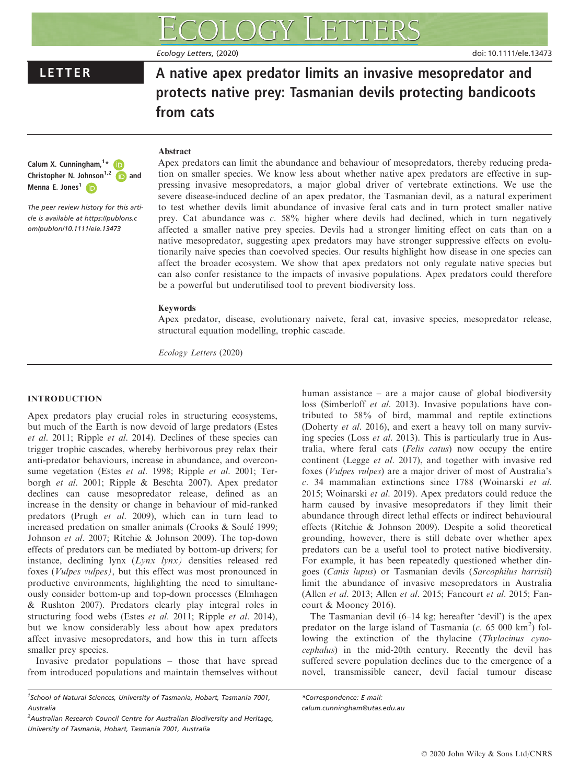# Ecology Letters, (2020) doi: 10.1111/ele.13473

LETTER A native apex predator limits an invasive mesopredator and protects native prey: Tasmanian devils protecting bandicoots from cats

### Abstract

Calum X. Cunningham, <sup>1</sup>[\\*](https://orcid.org/0000-0003-1640-2533) Christopher N. Johnson<sup>1,[2](https://orcid.org/0000-0002-9719-3771)</sup>  $\Box$  and Menna E. Jones<sup>1</sup>

The peer review history for this article is available at [https://publons.c](https://publons.com/publon/10.1111/ele.13473) [om/publon/10.1111/ele.13473](https://publons.com/publon/10.1111/ele.13473)

Apex predators can limit the abundance and behaviour of mesopredators, thereby reducing predation on smaller species. We know less about whether native apex predators are effective in suppressing invasive mesopredators, a major global driver of vertebrate extinctions. We use the severe disease-induced decline of an apex predator, the Tasmanian devil, as a natural experiment to test whether devils limit abundance of invasive feral cats and in turn protect smaller native prey. Cat abundance was c. 58% higher where devils had declined, which in turn negatively affected a smaller native prey species. Devils had a stronger limiting effect on cats than on a native mesopredator, suggesting apex predators may have stronger suppressive effects on evolutionarily naive species than coevolved species. Our results highlight how disease in one species can affect the broader ecosystem. We show that apex predators not only regulate native species but can also confer resistance to the impacts of invasive populations. Apex predators could therefore be a powerful but underutilised tool to prevent biodiversity loss.

## Keywords

Apex predator, disease, evolutionary naivete, feral cat, invasive species, mesopredator release, structural equation modelling, trophic cascade.

Ecology Letters (2020)

# INTRODUCTION

Apex predators play crucial roles in structuring ecosystems, but much of the Earth is now devoid of large predators (Estes et al. 2011; Ripple et al. 2014). Declines of these species can trigger trophic cascades, whereby herbivorous prey relax their anti-predator behaviours, increase in abundance, and overconsume vegetation (Estes et al. 1998; Ripple et al. 2001; Terborgh et al. 2001; Ripple & Beschta 2007). Apex predator declines can cause mesopredator release, defined as an increase in the density or change in behaviour of mid-ranked predators (Prugh et al. 2009), which can in turn lead to increased predation on smaller animals (Crooks & Soule 1999; Johnson et al. 2007; Ritchie & Johnson 2009). The top-down effects of predators can be mediated by bottom-up drivers; for instance, declining lynx (Lynx lynx) densities released red foxes (Vulpes vulpes), but this effect was most pronounced in productive environments, highlighting the need to simultaneously consider bottom-up and top-down processes (Elmhagen & Rushton 2007). Predators clearly play integral roles in structuring food webs (Estes et al. 2011; Ripple et al. 2014), but we know considerably less about how apex predators affect invasive mesopredators, and how this in turn affects smaller prey species.

Invasive predator populations – those that have spread from introduced populations and maintain themselves without

human assistance – are a major cause of global biodiversity loss (Simberloff et al. 2013). Invasive populations have contributed to 58% of bird, mammal and reptile extinctions (Doherty et al. 2016), and exert a heavy toll on many surviving species (Loss et al. 2013). This is particularly true in Australia, where feral cats (Felis catus) now occupy the entire continent (Legge et al. 2017), and together with invasive red foxes (Vulpes vulpes) are a major driver of most of Australia's c. 34 mammalian extinctions since 1788 (Woinarski et al. 2015; Woinarski et al. 2019). Apex predators could reduce the harm caused by invasive mesopredators if they limit their abundance through direct lethal effects or indirect behavioural effects (Ritchie & Johnson 2009). Despite a solid theoretical grounding, however, there is still debate over whether apex predators can be a useful tool to protect native biodiversity. For example, it has been repeatedly questioned whether dingoes (Canis lupus) or Tasmanian devils (Sarcophilus harrisii) limit the abundance of invasive mesopredators in Australia (Allen et al. 2013; Allen et al. 2015; Fancourt et al. 2015; Fancourt & Mooney 2016).

The Tasmanian devil (6–14 kg; hereafter 'devil') is the apex predator on the large island of Tasmania  $(c. 65000 \text{ km}^2)$  following the extinction of the thylacine (Thylacinus cynocephalus) in the mid-20th century. Recently the devil has suffered severe population declines due to the emergence of a novel, transmissible cancer, devil facial tumour disease

<sup>&</sup>lt;sup>1</sup>School of Natural Sciences, University of Tasmania, Hobart, Tasmania 7001, Australia

<sup>&</sup>lt;sup>2</sup> Australian Research Council Centre for Australian Biodiversity and Heritage, University of Tasmania, Hobart, Tasmania 7001, Australia

<sup>\*</sup>Correspondence: E-mail: [calum.cunningham@utas.edu.au](mailto:)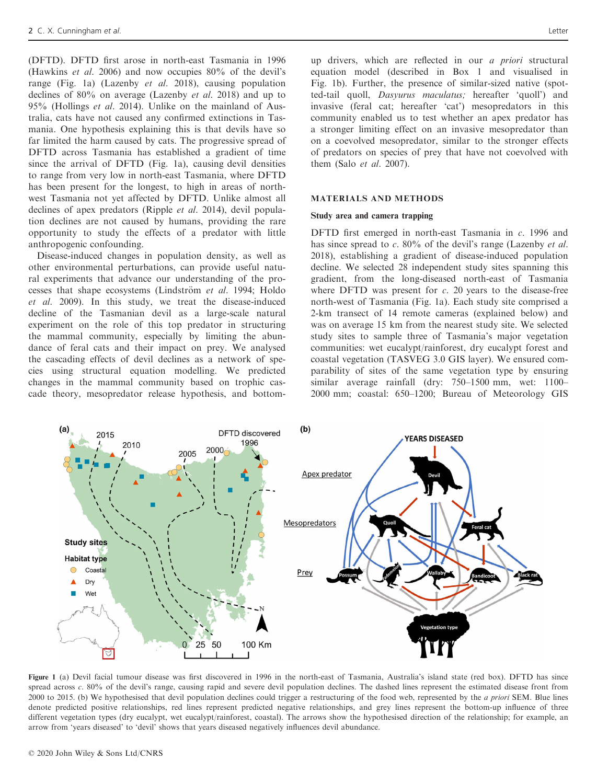(DFTD). DFTD first arose in north-east Tasmania in 1996 (Hawkins et al. 2006) and now occupies 80% of the devil's range (Fig. 1a) (Lazenby et al. 2018), causing population declines of 80% on average (Lazenby et al. 2018) and up to 95% (Hollings et al. 2014). Unlike on the mainland of Australia, cats have not caused any confirmed extinctions in Tasmania. One hypothesis explaining this is that devils have so far limited the harm caused by cats. The progressive spread of DFTD across Tasmania has established a gradient of time since the arrival of DFTD (Fig. 1a), causing devil densities to range from very low in north-east Tasmania, where DFTD has been present for the longest, to high in areas of northwest Tasmania not yet affected by DFTD. Unlike almost all declines of apex predators (Ripple et al. 2014), devil population declines are not caused by humans, providing the rare opportunity to study the effects of a predator with little anthropogenic confounding.

Disease-induced changes in population density, as well as other environmental perturbations, can provide useful natural experiments that advance our understanding of the processes that shape ecosystems (Lindström et al. 1994; Holdo et al. 2009). In this study, we treat the disease-induced decline of the Tasmanian devil as a large-scale natural experiment on the role of this top predator in structuring the mammal community, especially by limiting the abundance of feral cats and their impact on prey. We analysed the cascading effects of devil declines as a network of species using structural equation modelling. We predicted changes in the mammal community based on trophic cascade theory, mesopredator release hypothesis, and bottomup drivers, which are reflected in our a priori structural equation model (described in Box 1 and visualised in Fig. 1b). Further, the presence of similar-sized native (spotted-tail quoll, Dasyurus maculatus; hereafter 'quoll') and invasive (feral cat; hereafter 'cat') mesopredators in this community enabled us to test whether an apex predator has a stronger limiting effect on an invasive mesopredator than on a coevolved mesopredator, similar to the stronger effects of predators on species of prey that have not coevolved with them (Salo et al. 2007).

#### MATERIALS AND METHODS

#### Study area and camera trapping

DFTD first emerged in north-east Tasmania in c. 1996 and has since spread to  $c$ . 80% of the devil's range (Lazenby *et al.*) 2018), establishing a gradient of disease-induced population decline. We selected 28 independent study sites spanning this gradient, from the long-diseased north-east of Tasmania where DFTD was present for  $c$ . 20 years to the disease-free north-west of Tasmania (Fig. 1a). Each study site comprised a 2-km transect of 14 remote cameras (explained below) and was on average 15 km from the nearest study site. We selected study sites to sample three of Tasmania's major vegetation communities: wet eucalypt/rainforest, dry eucalypt forest and coastal vegetation (TASVEG 3.0 GIS layer). We ensured comparability of sites of the same vegetation type by ensuring similar average rainfall (dry: 750–1500 mm, wet: 1100– 2000 mm; coastal: 650–1200; Bureau of Meteorology GIS



Figure 1 (a) Devil facial tumour disease was first discovered in 1996 in the north-east of Tasmania, Australia's island state (red box). DFTD has since spread across c. 80% of the devil's range, causing rapid and severe devil population declines. The dashed lines represent the estimated disease front from 2000 to 2015. (b) We hypothesised that devil population declines could trigger a restructuring of the food web, represented by the a priori SEM. Blue lines denote predicted positive relationships, red lines represent predicted negative relationships, and grey lines represent the bottom-up influence of three different vegetation types (dry eucalypt, wet eucalypt/rainforest, coastal). The arrows show the hypothesised direction of the relationship; for example, an arrow from 'years diseased' to 'devil' shows that years diseased negatively influences devil abundance.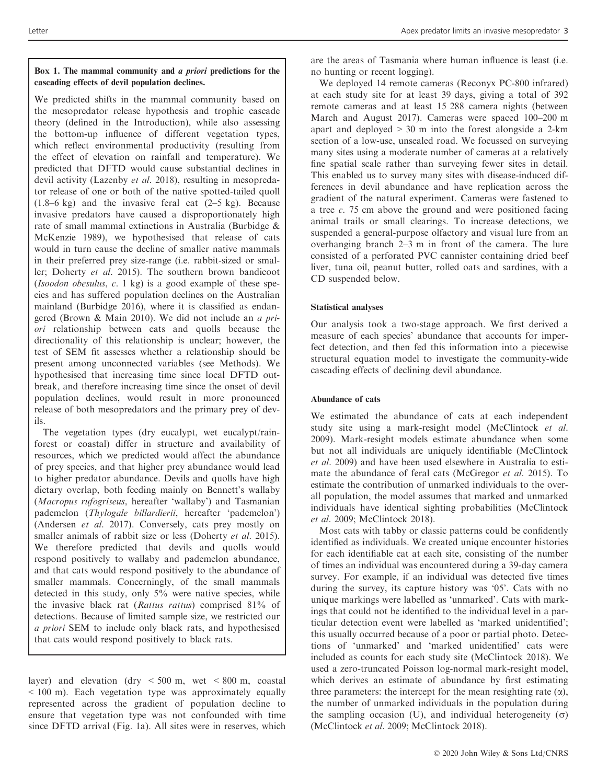We predicted shifts in the mammal community based on the mesopredator release hypothesis and trophic cascade theory (defined in the Introduction), while also assessing the bottom-up influence of different vegetation types, which reflect environmental productivity (resulting from the effect of elevation on rainfall and temperature). We predicted that DFTD would cause substantial declines in devil activity (Lazenby *et al.* 2018), resulting in mesopredator release of one or both of the native spotted-tailed quoll  $(1.8-6 \text{ kg})$  and the invasive feral cat  $(2-5 \text{ kg})$ . Because invasive predators have caused a disproportionately high rate of small mammal extinctions in Australia (Burbidge & McKenzie 1989), we hypothesised that release of cats would in turn cause the decline of smaller native mammals in their preferred prey size-range (i.e. rabbit-sized or smaller; Doherty et al. 2015). The southern brown bandicoot (Isoodon obesulus, c. 1 kg) is a good example of these species and has suffered population declines on the Australian mainland (Burbidge 2016), where it is classified as endangered (Brown & Main 2010). We did not include an a priori relationship between cats and quolls because the directionality of this relationship is unclear; however, the test of SEM fit assesses whether a relationship should be present among unconnected variables (see Methods). We hypothesised that increasing time since local DFTD outbreak, and therefore increasing time since the onset of devil population declines, would result in more pronounced release of both mesopredators and the primary prey of devils.

The vegetation types (dry eucalypt, wet eucalypt/rainforest or coastal) differ in structure and availability of resources, which we predicted would affect the abundance of prey species, and that higher prey abundance would lead to higher predator abundance. Devils and quolls have high dietary overlap, both feeding mainly on Bennett's wallaby (Macropus rufogriseus, hereafter 'wallaby') and Tasmanian pademelon (Thylogale billardierii, hereafter 'pademelon') (Andersen et al. 2017). Conversely, cats prey mostly on smaller animals of rabbit size or less (Doherty et al. 2015). We therefore predicted that devils and quolls would respond positively to wallaby and pademelon abundance, and that cats would respond positively to the abundance of smaller mammals. Concerningly, of the small mammals detected in this study, only 5% were native species, while the invasive black rat (Rattus rattus) comprised 81% of detections. Because of limited sample size, we restricted our a priori SEM to include only black rats, and hypothesised that cats would respond positively to black rats.

layer) and elevation (dry  $\lt$  500 m, wet  $\lt$  800 m, coastal < 100 m). Each vegetation type was approximately equally represented across the gradient of population decline to ensure that vegetation type was not confounded with time since DFTD arrival (Fig. 1a). All sites were in reserves, which

are the areas of Tasmania where human influence is least (i.e. no hunting or recent logging).

We deployed 14 remote cameras (Reconyx PC-800 infrared) at each study site for at least 39 days, giving a total of 392 remote cameras and at least 15 288 camera nights (between March and August 2017). Cameras were spaced 100–200 m apart and deployed  $> 30$  m into the forest alongside a 2-km section of a low-use, unsealed road. We focussed on surveying many sites using a moderate number of cameras at a relatively fine spatial scale rather than surveying fewer sites in detail. This enabled us to survey many sites with disease-induced differences in devil abundance and have replication across the gradient of the natural experiment. Cameras were fastened to a tree  $c$ . 75 cm above the ground and were positioned facing animal trails or small clearings. To increase detections, we suspended a general-purpose olfactory and visual lure from an overhanging branch 2–3 m in front of the camera. The lure consisted of a perforated PVC cannister containing dried beef liver, tuna oil, peanut butter, rolled oats and sardines, with a CD suspended below.

# Statistical analyses

Our analysis took a two-stage approach. We first derived a measure of each species' abundance that accounts for imperfect detection, and then fed this information into a piecewise structural equation model to investigate the community-wide cascading effects of declining devil abundance.

# Abundance of cats

We estimated the abundance of cats at each independent study site using a mark-resight model (McClintock et al. 2009). Mark-resight models estimate abundance when some but not all individuals are uniquely identifiable (McClintock et al. 2009) and have been used elsewhere in Australia to estimate the abundance of feral cats (McGregor et al. 2015). To estimate the contribution of unmarked individuals to the overall population, the model assumes that marked and unmarked individuals have identical sighting probabilities (McClintock et al. 2009; McClintock 2018).

Most cats with tabby or classic patterns could be confidently identified as individuals. We created unique encounter histories for each identifiable cat at each site, consisting of the number of times an individual was encountered during a 39-day camera survey. For example, if an individual was detected five times during the survey, its capture history was '05'. Cats with no unique markings were labelled as 'unmarked'. Cats with markings that could not be identified to the individual level in a particular detection event were labelled as 'marked unidentified'; this usually occurred because of a poor or partial photo. Detections of 'unmarked' and 'marked unidentified' cats were included as counts for each study site (McClintock 2018). We used a zero-truncated Poisson log-normal mark-resight model, which derives an estimate of abundance by first estimating three parameters: the intercept for the mean resighting rate  $(\alpha)$ , the number of unmarked individuals in the population during the sampling occasion (U), and individual heterogeneity  $(\sigma)$ (McClintock et al. 2009; McClintock 2018).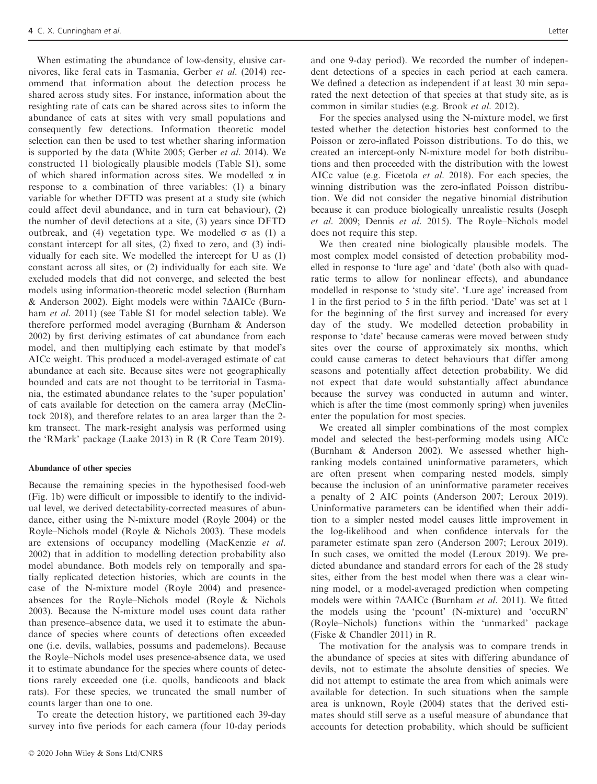When estimating the abundance of low-density, elusive carnivores, like feral cats in Tasmania, Gerber et al. (2014) recommend that information about the detection process be shared across study sites. For instance, information about the resighting rate of cats can be shared across sites to inform the abundance of cats at sites with very small populations and consequently few detections. Information theoretic model selection can then be used to test whether sharing information is supported by the data (White 2005; Gerber et al. 2014). We constructed 11 biologically plausible models (Table S1), some of which shared information across sites. We modelled  $\alpha$  in response to a combination of three variables: (1) a binary variable for whether DFTD was present at a study site (which could affect devil abundance, and in turn cat behaviour), (2) the number of devil detections at a site, (3) years since DFTD outbreak, and (4) vegetation type. We modelled  $\sigma$  as (1) a constant intercept for all sites, (2) fixed to zero, and (3) individually for each site. We modelled the intercept for U as (1) constant across all sites, or (2) individually for each site. We excluded models that did not converge, and selected the best models using information-theoretic model selection (Burnham  $&$  Anderson 2002). Eight models were within 7 $\triangle$ AICc (Burnham *et al.* 2011) (see Table S1 for model selection table). We therefore performed model averaging (Burnham & Anderson 2002) by first deriving estimates of cat abundance from each model, and then multiplying each estimate by that model's AICc weight. This produced a model-averaged estimate of cat abundance at each site. Because sites were not geographically bounded and cats are not thought to be territorial in Tasmania, the estimated abundance relates to the 'super population' of cats available for detection on the camera array (McClintock 2018), and therefore relates to an area larger than the 2 km transect. The mark-resight analysis was performed using the 'RMark' package (Laake 2013) in R (R Core Team 2019).

#### Abundance of other species

Because the remaining species in the hypothesised food-web (Fig. 1b) were difficult or impossible to identify to the individual level, we derived detectability-corrected measures of abundance, either using the N-mixture model (Royle 2004) or the Royle–Nichols model (Royle & Nichols 2003). These models are extensions of occupancy modelling (MacKenzie et al. 2002) that in addition to modelling detection probability also model abundance. Both models rely on temporally and spatially replicated detection histories, which are counts in the case of the N-mixture model (Royle 2004) and presenceabsences for the Royle–Nichols model (Royle & Nichols 2003). Because the N-mixture model uses count data rather than presence–absence data, we used it to estimate the abundance of species where counts of detections often exceeded one (i.e. devils, wallabies, possums and pademelons). Because the Royle–Nichols model uses presence-absence data, we used it to estimate abundance for the species where counts of detections rarely exceeded one (i.e. quolls, bandicoots and black rats). For these species, we truncated the small number of counts larger than one to one.

To create the detection history, we partitioned each 39-day survey into five periods for each camera (four 10-day periods

and one 9-day period). We recorded the number of independent detections of a species in each period at each camera. We defined a detection as independent if at least 30 min separated the next detection of that species at that study site, as is common in similar studies (e.g. Brook et al. 2012).

For the species analysed using the N-mixture model, we first tested whether the detection histories best conformed to the Poisson or zero-inflated Poisson distributions. To do this, we created an intercept-only N-mixture model for both distributions and then proceeded with the distribution with the lowest AICc value (e.g. Ficetola et al. 2018). For each species, the winning distribution was the zero-inflated Poisson distribution. We did not consider the negative binomial distribution because it can produce biologically unrealistic results (Joseph et al. 2009; Dennis et al. 2015). The Royle–Nichols model does not require this step.

We then created nine biologically plausible models. The most complex model consisted of detection probability modelled in response to 'lure age' and 'date' (both also with quadratic terms to allow for nonlinear effects), and abundance modelled in response to 'study site'. 'Lure age' increased from 1 in the first period to 5 in the fifth period. 'Date' was set at 1 for the beginning of the first survey and increased for every day of the study. We modelled detection probability in response to 'date' because cameras were moved between study sites over the course of approximately six months, which could cause cameras to detect behaviours that differ among seasons and potentially affect detection probability. We did not expect that date would substantially affect abundance because the survey was conducted in autumn and winter, which is after the time (most commonly spring) when juveniles enter the population for most species.

We created all simpler combinations of the most complex model and selected the best-performing models using AICc (Burnham & Anderson 2002). We assessed whether highranking models contained uninformative parameters, which are often present when comparing nested models, simply because the inclusion of an uninformative parameter receives a penalty of 2 AIC points (Anderson 2007; Leroux 2019). Uninformative parameters can be identified when their addition to a simpler nested model causes little improvement in the log-likelihood and when confidence intervals for the parameter estimate span zero (Anderson 2007; Leroux 2019). In such cases, we omitted the model (Leroux 2019). We predicted abundance and standard errors for each of the 28 study sites, either from the best model when there was a clear winning model, or a model-averaged prediction when competing models were within 7 $\Delta$ AICc (Burnham et al. 2011). We fitted the models using the 'pcount' (N-mixture) and 'occuRN' (Royle–Nichols) functions within the 'unmarked' package (Fiske & Chandler 2011) in R.

The motivation for the analysis was to compare trends in the abundance of species at sites with differing abundance of devils, not to estimate the absolute densities of species. We did not attempt to estimate the area from which animals were available for detection. In such situations when the sample area is unknown, Royle (2004) states that the derived estimates should still serve as a useful measure of abundance that accounts for detection probability, which should be sufficient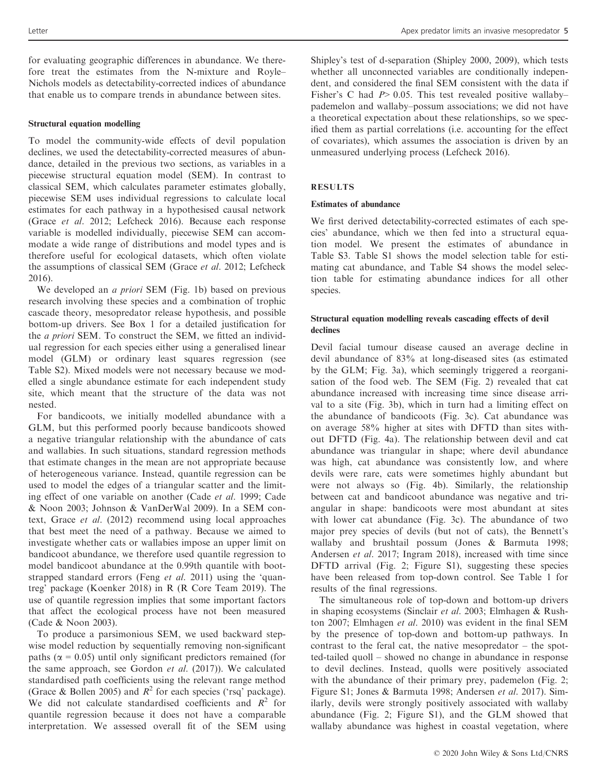for evaluating geographic differences in abundance. We therefore treat the estimates from the N-mixture and Royle– Nichols models as detectability-corrected indices of abundance that enable us to compare trends in abundance between sites.

#### Structural equation modelling

To model the community-wide effects of devil population declines, we used the detectability-corrected measures of abundance, detailed in the previous two sections, as variables in a piecewise structural equation model (SEM). In contrast to classical SEM, which calculates parameter estimates globally, piecewise SEM uses individual regressions to calculate local estimates for each pathway in a hypothesised causal network (Grace et al. 2012; Lefcheck 2016). Because each response variable is modelled individually, piecewise SEM can accommodate a wide range of distributions and model types and is therefore useful for ecological datasets, which often violate the assumptions of classical SEM (Grace et al. 2012; Lefcheck 2016).

We developed an *a priori* SEM (Fig. 1b) based on previous research involving these species and a combination of trophic cascade theory, mesopredator release hypothesis, and possible bottom-up drivers. See Box 1 for a detailed justification for the a priori SEM. To construct the SEM, we fitted an individual regression for each species either using a generalised linear model (GLM) or ordinary least squares regression (see Table S2). Mixed models were not necessary because we modelled a single abundance estimate for each independent study site, which meant that the structure of the data was not nested.

For bandicoots, we initially modelled abundance with a GLM, but this performed poorly because bandicoots showed a negative triangular relationship with the abundance of cats and wallabies. In such situations, standard regression methods that estimate changes in the mean are not appropriate because of heterogeneous variance. Instead, quantile regression can be used to model the edges of a triangular scatter and the limiting effect of one variable on another (Cade et al. 1999; Cade & Noon 2003; Johnson & VanDerWal 2009). In a SEM context, Grace et al. (2012) recommend using local approaches that best meet the need of a pathway. Because we aimed to investigate whether cats or wallabies impose an upper limit on bandicoot abundance, we therefore used quantile regression to model bandicoot abundance at the 0.99th quantile with bootstrapped standard errors (Feng et al. 2011) using the 'quantreg' package (Koenker 2018) in R (R Core Team 2019). The use of quantile regression implies that some important factors that affect the ecological process have not been measured (Cade & Noon 2003).

To produce a parsimonious SEM, we used backward stepwise model reduction by sequentially removing non-significant paths ( $\alpha$  = 0.05) until only significant predictors remained (for the same approach, see Gordon et al. (2017)). We calculated standardised path coefficients using the relevant range method (Grace & Bollen 2005) and  $R^2$  for each species ('rsq' package). We did not calculate standardised coefficients and  $R^2$  for quantile regression because it does not have a comparable interpretation. We assessed overall fit of the SEM using

Shipley's test of d-separation (Shipley 2000, 2009), which tests whether all unconnected variables are conditionally independent, and considered the final SEM consistent with the data if Fisher's C had  $P > 0.05$ . This test revealed positive wallaby– pademelon and wallaby–possum associations; we did not have a theoretical expectation about these relationships, so we specified them as partial correlations (i.e. accounting for the effect of covariates), which assumes the association is driven by an unmeasured underlying process (Lefcheck 2016).

#### RESULTS

#### Estimates of abundance

We first derived detectability-corrected estimates of each species' abundance, which we then fed into a structural equation model. We present the estimates of abundance in Table S3. Table S1 shows the model selection table for estimating cat abundance, and Table S4 shows the model selection table for estimating abundance indices for all other species.

## Structural equation modelling reveals cascading effects of devil declines

Devil facial tumour disease caused an average decline in devil abundance of 83% at long-diseased sites (as estimated by the GLM; Fig. 3a), which seemingly triggered a reorganisation of the food web. The SEM (Fig. 2) revealed that cat abundance increased with increasing time since disease arrival to a site (Fig. 3b), which in turn had a limiting effect on the abundance of bandicoots (Fig. 3c). Cat abundance was on average 58% higher at sites with DFTD than sites without DFTD (Fig. 4a). The relationship between devil and cat abundance was triangular in shape; where devil abundance was high, cat abundance was consistently low, and where devils were rare, cats were sometimes highly abundant but were not always so (Fig. 4b). Similarly, the relationship between cat and bandicoot abundance was negative and triangular in shape: bandicoots were most abundant at sites with lower cat abundance (Fig. 3c). The abundance of two major prey species of devils (but not of cats), the Bennett's wallaby and brushtail possum (Jones & Barmuta 1998; Andersen et al. 2017; Ingram 2018), increased with time since DFTD arrival (Fig. 2; Figure S1), suggesting these species have been released from top-down control. See Table 1 for results of the final regressions.

The simultaneous role of top-down and bottom-up drivers in shaping ecosystems (Sinclair et al. 2003; Elmhagen & Rushton 2007; Elmhagen et al. 2010) was evident in the final SEM by the presence of top-down and bottom-up pathways. In contrast to the feral cat, the native mesopredator – the spotted-tailed quoll – showed no change in abundance in response to devil declines. Instead, quolls were positively associated with the abundance of their primary prey, pademelon (Fig. 2; Figure S1; Jones & Barmuta 1998; Andersen et al. 2017). Similarly, devils were strongly positively associated with wallaby abundance (Fig. 2; Figure S1), and the GLM showed that wallaby abundance was highest in coastal vegetation, where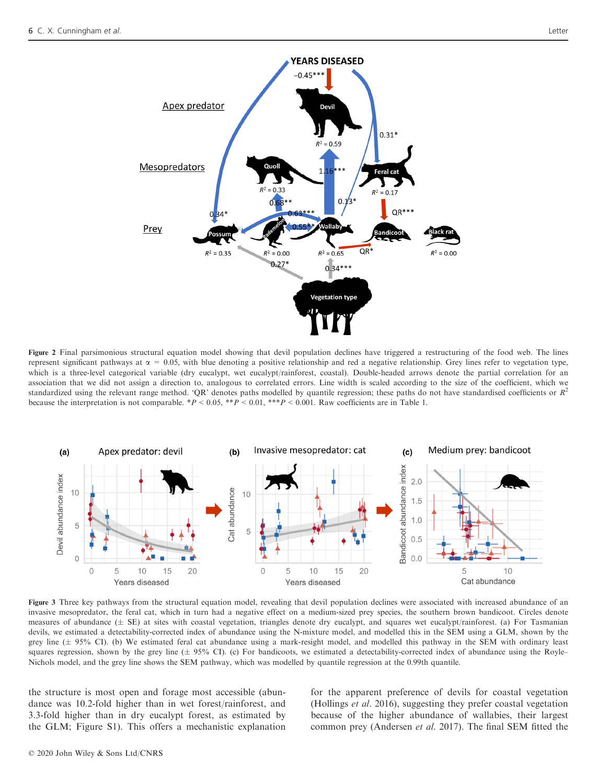

Figure 2 Final parsimonious structural equation model showing that devil population declines have triggered a restructuring of the food web. The lines represent significant pathways at  $\alpha = 0.05$ , with blue denoting a positive relationship and red a negative relationship. Grey lines refer to vegetation type, which is a three-level categorical variable (dry eucalypt, wet eucalypt/rainforest, coastal). Double-headed arrows denote the partial correlation for an association that we did not assign a direction to, analogous to correlated errors. Line width is scaled according to the size of the coefficient, which we standardized using the relevant range method. 'QR' denotes paths modelled by quantile regression; these paths do not have standardised coefficients or  $R^2$ because the interpretation is not comparable. \* $P < 0.05$ , \*\* $P < 0.01$ , \*\* $P < 0.001$ . Raw coefficients are in Table 1.



Figure 3 Three key pathways from the structural equation model, revealing that devil population declines were associated with increased abundance of an invasive mesopredator, the feral cat, which in turn had a negative effect on a medium-sized prey species, the southern brown bandicoot. Circles denote measures of abundance  $(\pm$  SE) at sites with coastal vegetation, triangles denote dry eucalypt, and squares wet eucalypt/rainforest. (a) For Tasmanian devils, we estimated a detectability-corrected index of abundance using the N-mixture model, and modelled this in the SEM using a GLM, shown by the grey line  $(\pm 95\%$  CI). (b) We estimated feral cat abundance using a mark-resight model, and modelled this pathway in the SEM with ordinary least squares regression, shown by the grey line  $(\pm 95\%$  CI). (c) For bandicoots, we estimated a detectability-corrected index of abundance using the Royle– Nichols model, and the grey line shows the SEM pathway, which was modelled by quantile regression at the 0.99th quantile.

the structure is most open and forage most accessible (abundance was 10.2-fold higher than in wet forest/rainforest, and 3.3-fold higher than in dry eucalypt forest, as estimated by the GLM; Figure S1). This offers a mechanistic explanation

for the apparent preference of devils for coastal vegetation (Hollings et al. 2016), suggesting they prefer coastal vegetation because of the higher abundance of wallabies, their largest common prey (Andersen et al. 2017). The final SEM fitted the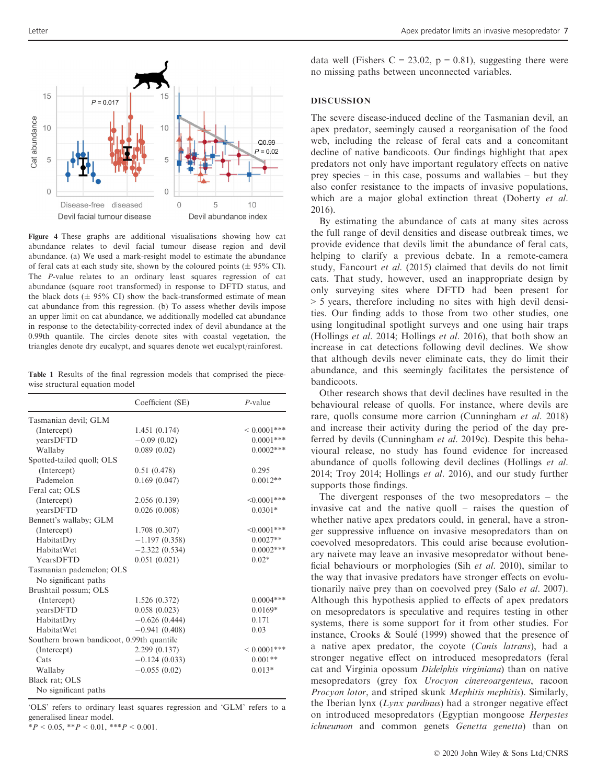

Figure 4 These graphs are additional visualisations showing how cat abundance relates to devil facial tumour disease region and devil abundance. (a) We used a mark-resight model to estimate the abundance of feral cats at each study site, shown by the coloured points  $(\pm 95\% \text{ CI})$ . The P-value relates to an ordinary least squares regression of cat abundance (square root transformed) in response to DFTD status, and the black dots ( $\pm$  95% CI) show the back-transformed estimate of mean cat abundance from this regression. (b) To assess whether devils impose an upper limit on cat abundance, we additionally modelled cat abundance in response to the detectability-corrected index of devil abundance at the 0.99th quantile. The circles denote sites with coastal vegetation, the triangles denote dry eucalypt, and squares denote wet eucalypt/rainforest.

Table 1 Results of the final regression models that comprised the piecewise structural equation model

|                                           | Coefficient (SE) | $P$ -value       |
|-------------------------------------------|------------------|------------------|
| Tasmanian devil; GLM                      |                  |                  |
| (Intercept)                               | 1.451(0.174)     | ${}< 0.0001$ *** |
| yearsDFTD                                 | $-0.09(0.02)$    | $0.0001***$      |
| Wallaby                                   | 0.089(0.02)      | $0.0002***$      |
| Spotted-tailed quoll; OLS                 |                  |                  |
| (Intercept)                               | 0.51(0.478)      | 0.295            |
| Pademelon                                 | 0.169(0.047)     | $0.0012**$       |
| Feral cat; OLS                            |                  |                  |
| (Intercept)                               | 2.056(0.139)     | $<0.0001***$     |
| yearsDFTD                                 | 0.026(0.008)     | $0.0301*$        |
| Bennett's wallaby; GLM                    |                  |                  |
| (Intercept)                               | 1.708(0.307)     | $<0.0001***$     |
| HabitatDry                                | $-1.197(0.358)$  | $0.0027**$       |
| HabitatWet                                | $-2.322(0.534)$  | $0.0002***$      |
| YearsDFTD                                 | 0.051(0.021)     | $0.02*$          |
| Tasmanian pademelon; OLS                  |                  |                  |
| No significant paths                      |                  |                  |
| Brushtail possum; OLS                     |                  |                  |
| (Intercept)                               | 1.526(0.372)     | $0.0004***$      |
| yearsDFTD                                 | 0.058(0.023)     | $0.0169*$        |
| HabitatDry                                | $-0.626(0.444)$  | 0.171            |
| HabitatWet                                | $-0.941(0.408)$  | 0.03             |
| Southern brown bandicoot, 0.99th quantile |                  |                  |
| (Intercept)                               | 2.299 (0.137)    | ${}< 0.0001$ *** |
| Cats                                      | $-0.124(0.033)$  | $0.001**$        |
| Wallaby                                   | $-0.055(0.02)$   | $0.013*$         |
| Black rat; OLS                            |                  |                  |
| No significant paths                      |                  |                  |

'OLS' refers to ordinary least squares regression and 'GLM' refers to a generalised linear model.

 $*P < 0.05$ ,  $*P < 0.01$ ,  $**P < 0.001$ .

data well (Fishers C = 23.02,  $p = 0.81$ ), suggesting there were no missing paths between unconnected variables.

## DISCUSSION

The severe disease-induced decline of the Tasmanian devil, an apex predator, seemingly caused a reorganisation of the food web, including the release of feral cats and a concomitant decline of native bandicoots. Our findings highlight that apex predators not only have important regulatory effects on native prey species – in this case, possums and wallabies – but they also confer resistance to the impacts of invasive populations, which are a major global extinction threat (Doherty *et al.*) 2016).

By estimating the abundance of cats at many sites across the full range of devil densities and disease outbreak times, we provide evidence that devils limit the abundance of feral cats, helping to clarify a previous debate. In a remote-camera study, Fancourt et al. (2015) claimed that devils do not limit cats. That study, however, used an inappropriate design by only surveying sites where DFTD had been present for > 5 years, therefore including no sites with high devil densities. Our finding adds to those from two other studies, one using longitudinal spotlight surveys and one using hair traps (Hollings et al. 2014; Hollings et al. 2016), that both show an increase in cat detections following devil declines. We show that although devils never eliminate cats, they do limit their abundance, and this seemingly facilitates the persistence of bandicoots.

Other research shows that devil declines have resulted in the behavioural release of quolls. For instance, where devils are rare, quolls consume more carrion (Cunningham et al. 2018) and increase their activity during the period of the day preferred by devils (Cunningham et al. 2019c). Despite this behavioural release, no study has found evidence for increased abundance of quolls following devil declines (Hollings et al. 2014; Troy 2014; Hollings et al. 2016), and our study further supports those findings.

The divergent responses of the two mesopredators – the invasive cat and the native quoll – raises the question of whether native apex predators could, in general, have a stronger suppressive influence on invasive mesopredators than on coevolved mesopredators. This could arise because evolutionary naivete may leave an invasive mesopredator without beneficial behaviours or morphologies (Sih et al. 2010), similar to the way that invasive predators have stronger effects on evolutionarily naïve prey than on coevolved prey (Salo *et al.* 2007). Although this hypothesis applied to effects of apex predators on mesopredators is speculative and requires testing in other systems, there is some support for it from other studies. For instance, Crooks & Soulé (1999) showed that the presence of a native apex predator, the coyote (Canis latrans), had a stronger negative effect on introduced mesopredators (feral cat and Virginia opossum Didelphis virginiana) than on native mesopredators (grey fox Urocyon cinereoargenteus, racoon Procyon lotor, and striped skunk Mephitis mephitis). Similarly, the Iberian lynx  $(Lynx \tpartial x)$  had a stronger negative effect on introduced mesopredators (Egyptian mongoose Herpestes ichneumon and common genets Genetta genetta) than on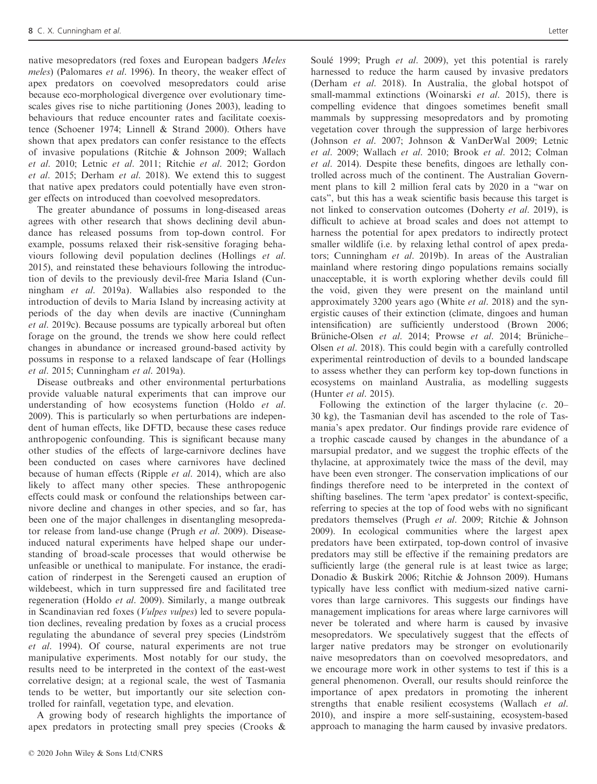native mesopredators (red foxes and European badgers Meles meles) (Palomares et al. 1996). In theory, the weaker effect of apex predators on coevolved mesopredators could arise because eco-morphological divergence over evolutionary timescales gives rise to niche partitioning (Jones 2003), leading to behaviours that reduce encounter rates and facilitate coexistence (Schoener 1974; Linnell & Strand 2000). Others have shown that apex predators can confer resistance to the effects of invasive populations (Ritchie & Johnson 2009; Wallach et al. 2010; Letnic et al. 2011; Ritchie et al. 2012; Gordon et al. 2015; Derham et al. 2018). We extend this to suggest that native apex predators could potentially have even stronger effects on introduced than coevolved mesopredators.

The greater abundance of possums in long-diseased areas agrees with other research that shows declining devil abundance has released possums from top-down control. For example, possums relaxed their risk-sensitive foraging behaviours following devil population declines (Hollings et al. 2015), and reinstated these behaviours following the introduction of devils to the previously devil-free Maria Island (Cunningham et al. 2019a). Wallabies also responded to the introduction of devils to Maria Island by increasing activity at periods of the day when devils are inactive (Cunningham et al. 2019c). Because possums are typically arboreal but often forage on the ground, the trends we show here could reflect changes in abundance or increased ground-based activity by possums in response to a relaxed landscape of fear (Hollings et al. 2015; Cunningham et al. 2019a).

Disease outbreaks and other environmental perturbations provide valuable natural experiments that can improve our understanding of how ecosystems function (Holdo et al. 2009). This is particularly so when perturbations are independent of human effects, like DFTD, because these cases reduce anthropogenic confounding. This is significant because many other studies of the effects of large-carnivore declines have been conducted on cases where carnivores have declined because of human effects (Ripple et al. 2014), which are also likely to affect many other species. These anthropogenic effects could mask or confound the relationships between carnivore decline and changes in other species, and so far, has been one of the major challenges in disentangling mesopredator release from land-use change (Prugh et al. 2009). Diseaseinduced natural experiments have helped shape our understanding of broad-scale processes that would otherwise be unfeasible or unethical to manipulate. For instance, the eradication of rinderpest in the Serengeti caused an eruption of wildebeest, which in turn suppressed fire and facilitated tree regeneration (Holdo et al. 2009). Similarly, a mange outbreak in Scandinavian red foxes (Vulpes vulpes) led to severe population declines, revealing predation by foxes as a crucial process regulating the abundance of several prey species (Lindström et al. 1994). Of course, natural experiments are not true manipulative experiments. Most notably for our study, the results need to be interpreted in the context of the east-west correlative design; at a regional scale, the west of Tasmania tends to be wetter, but importantly our site selection controlled for rainfall, vegetation type, and elevation.

A growing body of research highlights the importance of apex predators in protecting small prey species (Crooks &

Soulé 1999; Prugh et al. 2009), yet this potential is rarely harnessed to reduce the harm caused by invasive predators (Derham et al. 2018). In Australia, the global hotspot of small-mammal extinctions (Woinarski et al. 2015), there is compelling evidence that dingoes sometimes benefit small mammals by suppressing mesopredators and by promoting vegetation cover through the suppression of large herbivores (Johnson et al. 2007; Johnson & VanDerWal 2009; Letnic et al. 2009; Wallach et al. 2010; Brook et al. 2012; Colman et al. 2014). Despite these benefits, dingoes are lethally controlled across much of the continent. The Australian Government plans to kill 2 million feral cats by 2020 in a "war on cats", but this has a weak scientific basis because this target is not linked to conservation outcomes (Doherty et al. 2019), is difficult to achieve at broad scales and does not attempt to harness the potential for apex predators to indirectly protect smaller wildlife (i.e. by relaxing lethal control of apex predators; Cunningham et al. 2019b). In areas of the Australian mainland where restoring dingo populations remains socially unacceptable, it is worth exploring whether devils could fill the void, given they were present on the mainland until approximately 3200 years ago (White et al. 2018) and the synergistic causes of their extinction (climate, dingoes and human intensification) are sufficiently understood (Brown 2006; Brüniche-Olsen et al. 2014; Prowse et al. 2014; Brüniche-Olsen et al. 2018). This could begin with a carefully controlled experimental reintroduction of devils to a bounded landscape to assess whether they can perform key top-down functions in ecosystems on mainland Australia, as modelling suggests (Hunter et al. 2015).

Following the extinction of the larger thylacine (c. 20– 30 kg), the Tasmanian devil has ascended to the role of Tasmania's apex predator. Our findings provide rare evidence of a trophic cascade caused by changes in the abundance of a marsupial predator, and we suggest the trophic effects of the thylacine, at approximately twice the mass of the devil, may have been even stronger. The conservation implications of our findings therefore need to be interpreted in the context of shifting baselines. The term 'apex predator' is context-specific, referring to species at the top of food webs with no significant predators themselves (Prugh et al. 2009; Ritchie & Johnson 2009). In ecological communities where the largest apex predators have been extirpated, top-down control of invasive predators may still be effective if the remaining predators are sufficiently large (the general rule is at least twice as large; Donadio & Buskirk 2006; Ritchie & Johnson 2009). Humans typically have less conflict with medium-sized native carnivores than large carnivores. This suggests our findings have management implications for areas where large carnivores will never be tolerated and where harm is caused by invasive mesopredators. We speculatively suggest that the effects of larger native predators may be stronger on evolutionarily naive mesopredators than on coevolved mesopredators, and we encourage more work in other systems to test if this is a general phenomenon. Overall, our results should reinforce the importance of apex predators in promoting the inherent strengths that enable resilient ecosystems (Wallach et al. 2010), and inspire a more self-sustaining, ecosystem-based approach to managing the harm caused by invasive predators.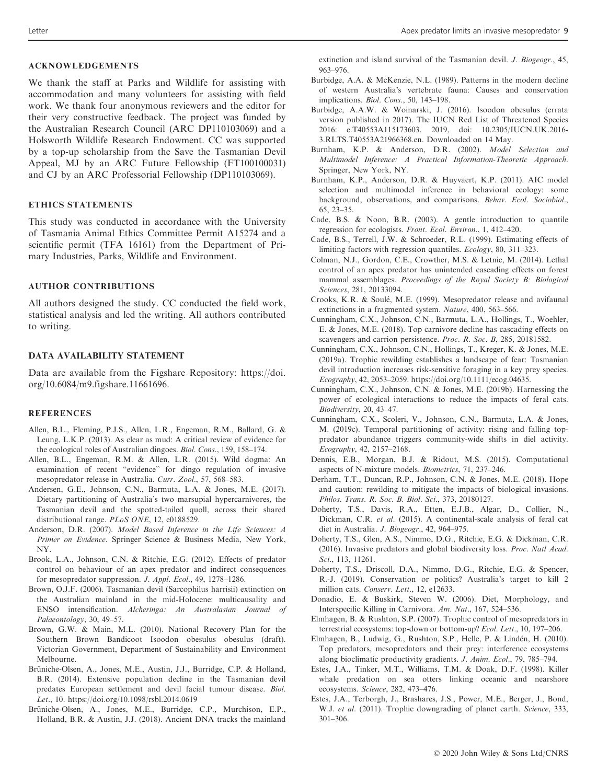We thank the staff at Parks and Wildlife for assisting with accommodation and many volunteers for assisting with field work. We thank four anonymous reviewers and the editor for their very constructive feedback. The project was funded by the Australian Research Council (ARC DP110103069) and a Holsworth Wildlife Research Endowment. CC was supported by a top-up scholarship from the Save the Tasmanian Devil Appeal, MJ by an ARC Future Fellowship (FT100100031) and CJ by an ARC Professorial Fellowship (DP110103069).

#### ETHICS STATEMENTS

This study was conducted in accordance with the University of Tasmania Animal Ethics Committee Permit A15274 and a scientific permit (TFA 16161) from the Department of Primary Industries, Parks, Wildlife and Environment.

## AUTHOR CONTRIBUTIONS

All authors designed the study. CC conducted the field work, statistical analysis and led the writing. All authors contributed to writing.

## DATA AVAILABILITY STATEMENT

Data are available from the Figshare Repository: [https://doi.](https://doi.org/10.6084/m9.figshare.11661696) [org/10.6084/m9.figshare.11661696.](https://doi.org/10.6084/m9.figshare.11661696)

### **REFERENCES**

- Allen, B.L., Fleming, P.J.S., Allen, L.R., Engeman, R.M., Ballard, G. & Leung, L.K.P. (2013). As clear as mud: A critical review of evidence for the ecological roles of Australian dingoes. Biol. Cons., 159, 158–174.
- Allen, B.L., Engeman, R.M. & Allen, L.R. (2015). Wild dogma: An examination of recent "evidence" for dingo regulation of invasive mesopredator release in Australia. Curr. Zool., 57, 568–583.
- Andersen, G.E., Johnson, C.N., Barmuta, L.A. & Jones, M.E. (2017). Dietary partitioning of Australia's two marsupial hypercarnivores, the Tasmanian devil and the spotted-tailed quoll, across their shared distributional range. PLoS ONE, 12, e0188529.
- Anderson, D.R. (2007). Model Based Inference in the Life Sciences: A Primer on Evidence. Springer Science & Business Media, New York, NY.
- Brook, L.A., Johnson, C.N. & Ritchie, E.G. (2012). Effects of predator control on behaviour of an apex predator and indirect consequences for mesopredator suppression. J. Appl. Ecol., 49, 1278–1286.
- Brown, O.J.F. (2006). Tasmanian devil (Sarcophilus harrisii) extinction on the Australian mainland in the mid-Holocene: multicausality and ENSO intensification. Alcheringa: An Australasian Journal of Palaeontology, 30, 49–57.
- Brown, G.W. & Main, M.L. (2010). National Recovery Plan for the Southern Brown Bandicoot Isoodon obesulus obesulus (draft). Victorian Government, Department of Sustainability and Environment Melbourne.
- Brüniche-Olsen, A., Jones, M.E., Austin, J.J., Burridge, C.P. & Holland, B.R. (2014). Extensive population decline in the Tasmanian devil predates European settlement and devil facial tumour disease. Biol. Let., 10.<https://doi.org/10.1098/rsbl.2014.0619>
- Brüniche-Olsen, A., Jones, M.E., Burridge, C.P., Murchison, E.P., Holland, B.R. & Austin, J.J. (2018). Ancient DNA tracks the mainland

extinction and island survival of the Tasmanian devil. J. Biogeogr., 45, 963–976.

- Burbidge, A.A. & McKenzie, N.L. (1989). Patterns in the modern decline of western Australia's vertebrate fauna: Causes and conservation implications. Biol. Cons., 50, 143–198.
- Burbidge, A.A.W. & Woinarski, J. (2016). Isoodon obesulus (errata version published in 2017). The IUCN Red List of Threatened Species 2016: e.T40553A115173603. 2019, doi: 10.2305/IUCN.UK.2016- 3.RLTS.T40553A21966368.en. Downloaded on 14 May.
- Burnham, K.P. & Anderson, D.R. (2002). Model Selection and Multimodel Inference: A Practical Information-Theoretic Approach. Springer, New York, NY.
- Burnham, K.P., Anderson, D.R. & Huyvaert, K.P. (2011). AIC model selection and multimodel inference in behavioral ecology: some background, observations, and comparisons. Behav. Ecol. Sociobiol., 65, 23–35.
- Cade, B.S. & Noon, B.R. (2003). A gentle introduction to quantile regression for ecologists. Front. Ecol. Environ., 1, 412–420.
- Cade, B.S., Terrell, J.W. & Schroeder, R.L. (1999). Estimating effects of limiting factors with regression quantiles. Ecology, 80, 311–323.
- Colman, N.J., Gordon, C.E., Crowther, M.S. & Letnic, M. (2014). Lethal control of an apex predator has unintended cascading effects on forest mammal assemblages. Proceedings of the Royal Society B: Biological Sciences, 281, 20133094.
- Crooks, K.R. & Soule, M.E. (1999). Mesopredator release and avifaunal extinctions in a fragmented system. Nature, 400, 563–566.
- Cunningham, C.X., Johnson, C.N., Barmuta, L.A., Hollings, T., Woehler, E. & Jones, M.E. (2018). Top carnivore decline has cascading effects on scavengers and carrion persistence. Proc. R. Soc. B, 285, 20181582.
- Cunningham, C.X., Johnson, C.N., Hollings, T., Kreger, K. & Jones, M.E. (2019a). Trophic rewilding establishes a landscape of fear: Tasmanian devil introduction increases risk-sensitive foraging in a key prey species. Ecography, 42, 2053–2059. [https://doi.org/10.1111/ecog.04635.](https://doi.org/10.1111/ecog.04635)
- Cunningham, C.X., Johnson, C.N. & Jones, M.E. (2019b). Harnessing the power of ecological interactions to reduce the impacts of feral cats. Biodiversity, 20, 43–47.
- Cunningham, C.X., Scoleri, V., Johnson, C.N., Barmuta, L.A. & Jones, M. (2019c). Temporal partitioning of activity: rising and falling toppredator abundance triggers community-wide shifts in diel activity. Ecography, 42, 2157–2168.
- Dennis, E.B., Morgan, B.J. & Ridout, M.S. (2015). Computational aspects of N-mixture models. Biometrics, 71, 237–246.
- Derham, T.T., Duncan, R.P., Johnson, C.N. & Jones, M.E. (2018). Hope and caution: rewilding to mitigate the impacts of biological invasions. Philos. Trans. R. Soc. B. Biol. Sci., 373, 20180127.
- Doherty, T.S., Davis, R.A., Etten, E.J.B., Algar, D., Collier, N., Dickman, C.R. et al. (2015). A continental-scale analysis of feral cat diet in Australia. J. Biogeogr., 42, 964–975.
- Doherty, T.S., Glen, A.S., Nimmo, D.G., Ritchie, E.G. & Dickman, C.R. (2016). Invasive predators and global biodiversity loss. Proc. Natl Acad. Sci., 113, 11261.
- Doherty, T.S., Driscoll, D.A., Nimmo, D.G., Ritchie, E.G. & Spencer, R.-J. (2019). Conservation or politics? Australia's target to kill 2 million cats. Conserv. Lett., 12, e12633.
- Donadio, E. & Buskirk, Steven W. (2006). Diet, Morphology, and Interspecific Killing in Carnivora. Am. Nat., 167, 524–536.
- Elmhagen, B. & Rushton, S.P. (2007). Trophic control of mesopredators in terrestrial ecosystems: top-down or bottom-up? Ecol. Lett., 10, 197–206.
- Elmhagen, B., Ludwig, G., Rushton, S.P., Helle, P. & Linden, H. (2010). Top predators, mesopredators and their prey: interference ecosystems along bioclimatic productivity gradients. J. Anim. Ecol., 79, 785–794.
- Estes, J.A., Tinker, M.T., Williams, T.M. & Doak, D.F. (1998). Killer whale predation on sea otters linking oceanic and nearshore ecosystems. Science, 282, 473–476.
- Estes, J.A., Terborgh, J., Brashares, J.S., Power, M.E., Berger, J., Bond, W.J. et al. (2011). Trophic downgrading of planet earth. Science, 333, 301–306.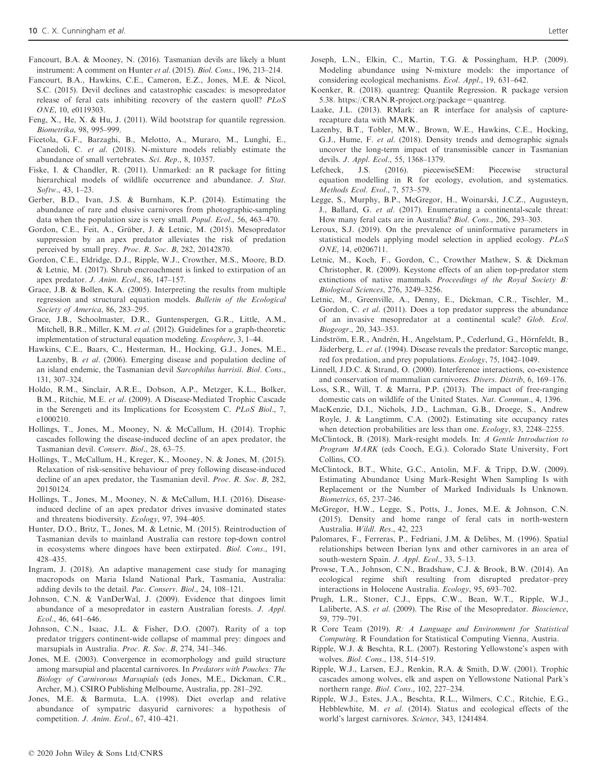- Fancourt, B.A. & Mooney, N. (2016). Tasmanian devils are likely a blunt instrument: A comment on Hunter et al. (2015). Biol. Cons., 196, 213–214.
- Fancourt, B.A., Hawkins, C.E., Cameron, E.Z., Jones, M.E. & Nicol, S.C. (2015). Devil declines and catastrophic cascades: is mesopredator release of feral cats inhibiting recovery of the eastern quoll? PLoS ONE, 10, e0119303.
- Feng, X., He, X. & Hu, J. (2011). Wild bootstrap for quantile regression. Biometrika, 98, 995–999.
- Ficetola, G.F., Barzaghi, B., Melotto, A., Muraro, M., Lunghi, E., Canedoli, C. et al. (2018). N-mixture models reliably estimate the abundance of small vertebrates. Sci. Rep., 8, 10357.
- Fiske, I. & Chandler, R. (2011). Unmarked: an R package for fitting hierarchical models of wildlife occurrence and abundance. J. Stat. Softw., 43, 1–23.
- Gerber, B.D., Ivan, J.S. & Burnham, K.P. (2014). Estimating the abundance of rare and elusive carnivores from photographic-sampling data when the population size is very small. Popul. Ecol., 56, 463–470.
- Gordon, C.E., Feit, A., Grüber, J. & Letnic, M. (2015). Mesopredator suppression by an apex predator alleviates the risk of predation perceived by small prey. Proc. R. Soc. B, 282, 20142870.
- Gordon, C.E., Eldridge, D.J., Ripple, W.J., Crowther, M.S., Moore, B.D. & Letnic, M. (2017). Shrub encroachment is linked to extirpation of an apex predator. J. Anim. Ecol., 86, 147–157.
- Grace, J.B. & Bollen, K.A. (2005). Interpreting the results from multiple regression and structural equation models. Bulletin of the Ecological Society of America, 86, 283–295.
- Grace, J.B., Schoolmaster, D.R., Guntenspergen, G.R., Little, A.M., Mitchell, B.R., Miller, K.M. et al. (2012). Guidelines for a graph-theoretic implementation of structural equation modeling. Ecosphere, 3, 1–44.
- Hawkins, C.E., Baars, C., Hesterman, H., Hocking, G.J., Jones, M.E., Lazenby, B. et al. (2006). Emerging disease and population decline of an island endemic, the Tasmanian devil Sarcophilus harrisii. Biol. Cons., 131, 307–324.
- Holdo, R.M., Sinclair, A.R.E., Dobson, A.P., Metzger, K.L., Bolker, B.M., Ritchie, M.E. et al. (2009). A Disease-Mediated Trophic Cascade in the Serengeti and its Implications for Ecosystem C. PLoS Biol., 7, e1000210.
- Hollings, T., Jones, M., Mooney, N. & McCallum, H. (2014). Trophic cascades following the disease-induced decline of an apex predator, the Tasmanian devil. Conserv. Biol., 28, 63–75.
- Hollings, T., McCallum, H., Kreger, K., Mooney, N. & Jones, M. (2015). Relaxation of risk-sensitive behaviour of prey following disease-induced decline of an apex predator, the Tasmanian devil. Proc. R. Soc. B, 282, 20150124.
- Hollings, T., Jones, M., Mooney, N. & McCallum, H.I. (2016). Diseaseinduced decline of an apex predator drives invasive dominated states and threatens biodiversity. Ecology, 97, 394–405.
- Hunter, D.O., Britz, T., Jones, M. & Letnic, M. (2015). Reintroduction of Tasmanian devils to mainland Australia can restore top-down control in ecosystems where dingoes have been extirpated. Biol. Cons., 191, 428–435.
- Ingram, J. (2018). An adaptive management case study for managing macropods on Maria Island National Park, Tasmania, Australia: adding devils to the detail. Pac. Conserv. Biol., 24, 108–121.
- Johnson, C.N. & VanDerWal, J. (2009). Evidence that dingoes limit abundance of a mesopredator in eastern Australian forests. J. Appl. Ecol., 46, 641–646.
- Johnson, C.N., Isaac, J.L. & Fisher, D.O. (2007). Rarity of a top predator triggers continent-wide collapse of mammal prey: dingoes and marsupials in Australia. Proc. R. Soc. B, 274, 341–346.
- Jones, M.E. (2003). Convergence in ecomorphology and guild structure among marsupial and placental carnivores. In Predators with Pouches: The Biology of Carnivorous Marsupials (eds Jones, M.E., Dickman, C.R., Archer, M.). CSIRO Publishing Melbourne, Australia, pp. 281–292.
- Jones, M.E. & Barmuta, L.A. (1998). Diet overlap and relative abundance of sympatric dasyurid carnivores: a hypothesis of competition. J. Anim. Ecol., 67, 410–421.
- Joseph, L.N., Elkin, C., Martin, T.G. & Possingham, H.P. (2009). Modeling abundance using N-mixture models: the importance of considering ecological mechanisms. Ecol. Appl., 19, 631–642.
- Koenker, R. (2018). quantreg: Quantile Regression. R package version 5.38. https://CRAN.R-project.org/package=quantreg.
- Laake, J.L. (2013). RMark: an R interface for analysis of capturerecapture data with MARK.
- Lazenby, B.T., Tobler, M.W., Brown, W.E., Hawkins, C.E., Hocking, G.J., Hume, F. et al. (2018). Density trends and demographic signals uncover the long-term impact of transmissible cancer in Tasmanian devils. J. Appl. Ecol., 55, 1368–1379.
- Lefcheck, J.S. (2016). piecewiseSEM: Piecewise structural equation modelling in R for ecology, evolution, and systematics. Methods Ecol. Evol., 7, 573–579.
- Legge, S., Murphy, B.P., McGregor, H., Woinarski, J.C.Z., Augusteyn, J., Ballard, G. et al. (2017). Enumerating a continental-scale threat: How many feral cats are in Australia? Biol. Cons., 206, 293–303.
- Leroux, S.J. (2019). On the prevalence of uninformative parameters in statistical models applying model selection in applied ecology. PLoS ONE, 14, e0206711.
- Letnic, M., Koch, F., Gordon, C., Crowther Mathew, S. & Dickman Christopher, R. (2009). Keystone effects of an alien top-predator stem extinctions of native mammals. Proceedings of the Royal Society B: Biological Sciences, 276, 3249–3256.
- Letnic, M., Greenville, A., Denny, E., Dickman, C.R., Tischler, M., Gordon, C. et al. (2011). Does a top predator suppress the abundance of an invasive mesopredator at a continental scale? Glob. Ecol. Biogeogr., 20, 343–353.
- Lindström, E.R., Andrén, H., Angelstam, P., Cederlund, G., Hörnfeldt, B., Jäderberg, L. et al. (1994). Disease reveals the predator: Sarcoptic mange, red fox predation, and prey populations. Ecology, 75, 1042–1049.
- Linnell, J.D.C. & Strand, O. (2000). Interference interactions, co-existence and conservation of mammalian carnivores. Divers. Distrib, 6, 169–176.
- Loss, S.R., Will, T. & Marra, P.P. (2013). The impact of free-ranging domestic cats on wildlife of the United States. Nat. Commun., 4, 1396.
- MacKenzie, D.I., Nichols, J.D., Lachman, G.B., Droege, S., Andrew Royle, J. & Langtimm, C.A. (2002). Estimating site occupancy rates when detection probabilities are less than one. Ecology, 83, 2248–2255.
- McClintock, B. (2018). Mark-resight models. In: A Gentle Introduction to Program MARK (eds Cooch, E.G.). Colorado State University, Fort Collins, CO.
- McClintock, B.T., White, G.C., Antolin, M.F. & Tripp, D.W. (2009). Estimating Abundance Using Mark-Resight When Sampling Is with Replacement or the Number of Marked Individuals Is Unknown. Biometrics, 65, 237–246.
- McGregor, H.W., Legge, S., Potts, J., Jones, M.E. & Johnson, C.N. (2015). Density and home range of feral cats in north-western Australia. Wildl. Res., 42, 223
- Palomares, F., Ferreras, P., Fedriani, J.M. & Delibes, M. (1996). Spatial relationships between Iberian lynx and other carnivores in an area of south-western Spain. J. Appl. Ecol., 33, 5–13.
- Prowse, T.A., Johnson, C.N., Bradshaw, C.J. & Brook, B.W. (2014). An ecological regime shift resulting from disrupted predator–prey interactions in Holocene Australia. Ecology, 95, 693–702.
- Prugh, L.R., Stoner, C.J., Epps, C.W., Bean, W.T., Ripple, W.J., Laliberte, A.S. et al. (2009). The Rise of the Mesopredator. Bioscience, 59, 779–791.
- R Core Team (2019). R: A Language and Environment for Statistical Computing. R Foundation for Statistical Computing Vienna, Austria.
- Ripple, W.J. & Beschta, R.L. (2007). Restoring Yellowstone's aspen with wolves. Biol. Cons., 138, 514–519.
- Ripple, W.J., Larsen, E.J., Renkin, R.A. & Smith, D.W. (2001). Trophic cascades among wolves, elk and aspen on Yellowstone National Park's northern range. Biol. Cons., 102, 227–234.
- Ripple, W.J., Estes, J.A., Beschta, R.L., Wilmers, C.C., Ritchie, E.G., Hebblewhite, M. et al. (2014). Status and ecological effects of the world's largest carnivores. Science, 343, 1241484.